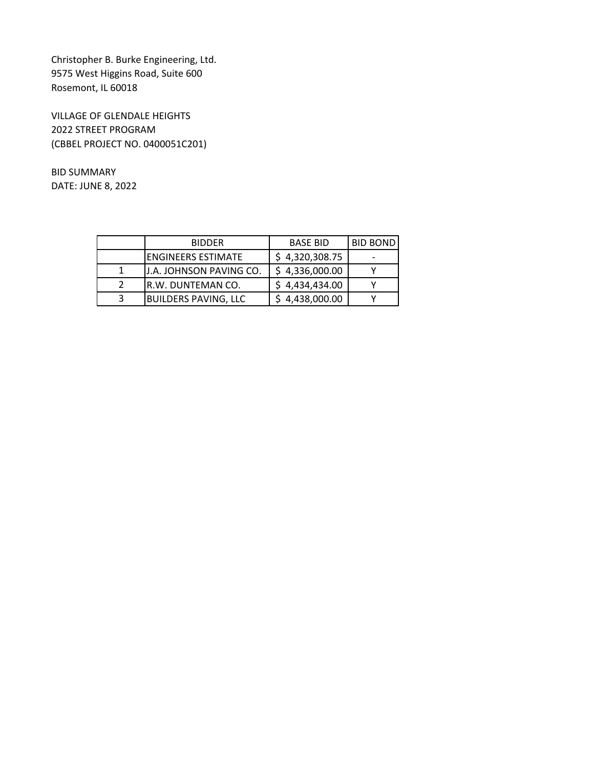Christopher B. Burke Engineering, Ltd. 9575 West Higgins Road, Suite 600 Rosemont, IL 60018

VILLAGE OF GLENDALE HEIGHTS 2022 STREET PROGRAM (CBBEL PROJECT NO. 0400051C201)

BID SUMMARY DATE: JUNE 8, 2022

|   | <b>BIDDER</b>               | <b>BASE BID</b> | <b>BID BOND</b> |
|---|-----------------------------|-----------------|-----------------|
|   | IENGINEERS ESTIMATE         | \$4,320,308.75  |                 |
|   | J.A. JOHNSON PAVING CO.     | \$4,336,000.00  |                 |
|   | IR.W. DUNTEMAN CO.          | \$4,434,434.00  |                 |
| 3 | <b>BUILDERS PAVING, LLC</b> | \$4,438,000.00  |                 |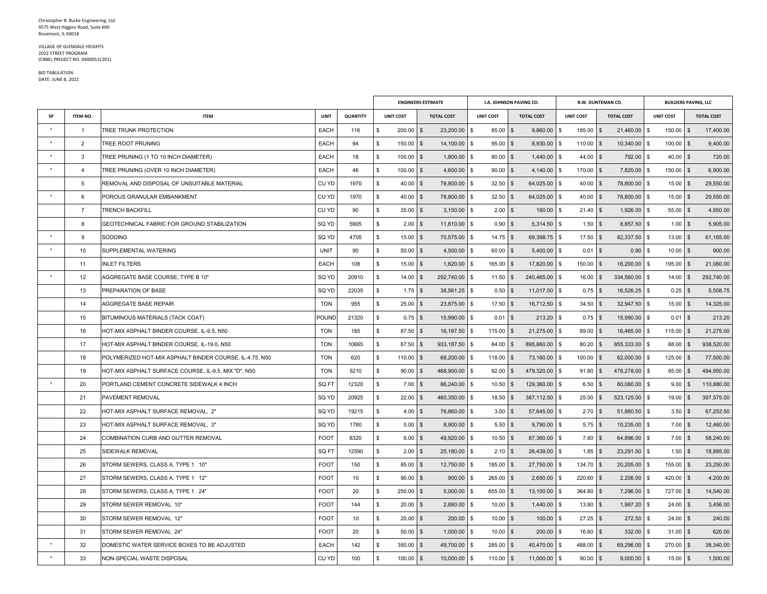## VILLAGE OF GLENDALE HEIGHTS 2022 STREET PROGRAM (CBBEL PROJECT NO. 0400051C201)

## BID TABULATIONDATE: JUNE 8, 2022

|           |                |                                                         |             |                 | <b>ENGINEERS ESTIMATE</b>     |                            |                         | J.A. JOHNSON PAVING CO.       |                  | R.W. DUNTEMAN CO.          |                  | <b>BUILDERS PAVING, LLC</b> |  |  |
|-----------|----------------|---------------------------------------------------------|-------------|-----------------|-------------------------------|----------------------------|-------------------------|-------------------------------|------------------|----------------------------|------------------|-----------------------------|--|--|
| <b>SP</b> | ITEM NO.       | <b>ITEM</b>                                             | <b>UNIT</b> | <b>QUANTITY</b> | <b>UNIT COST</b>              | <b>TOTAL COST</b>          | <b>UNIT COST</b>        | <b>TOTAL COST</b>             | <b>UNIT COST</b> | <b>TOTAL COST</b>          | <b>UNIT COST</b> | <b>TOTAL COST</b>           |  |  |
|           | $\mathbf{1}$   | TREE TRUNK PROTECTION                                   | EACH        | 116             | 200.00<br>\$                  | 23,200.00 \$<br>$\sqrt{3}$ | 85.00                   | 9,860.00 \$<br>$\sqrt{3}$     | 185.00 \$        | 21,460.00 \$               | $150.00$ \$      | 17,400.00                   |  |  |
|           | $\overline{2}$ | <b>TREE ROOT PRUNING</b>                                | EACH        | 94              | $\mathfrak{L}$<br>$150.00$ \$ | 14,100.00                  | $95.00$ \$              | 8,930.00 \$                   | $110.00$ \$      | 10,340.00                  | $100.00$ \$      | 9,400.00                    |  |  |
|           | 3              | TREE PRUNING (1 TO 10 INCH DIAMETER)                    | <b>EACH</b> | 18              | \$<br>$100.00$ \$             | 1,800.00                   | $80.00$ \$<br>\$        | $1,440.00$ \$                 | $44.00$ \$       | 792.00 \$                  | $40.00$ \$       | 720.00                      |  |  |
|           | $\overline{4}$ | TREE PRUNING (OVER 10 INCH DIAMETER)                    | EACH        | 46              | \$<br>$100.00$ \$             | $4,600.00$ \$              | $90.00$ \$              | $4,140.00$ \$                 | $170.00$ \$      | 7,820.00 \$                | $150.00$ \$      | 6,900.00                    |  |  |
|           | 5              | REMOVAL AND DISPOSAL OF UNSUITABLE MATERIAL             | CU YD       | 1970            | \$<br>$40.00$ \$              | 78,800.00                  | 32.50<br>l \$           | 64,025.00 \$<br><b>S</b>      | $40.00$ \$       | 78,800.00 \$               | $15.00$ \$       | 29,550.00                   |  |  |
|           | 6              | POROUS GRANULAR EMBANKMENT                              | CU YD       | 1970            | $40.00$ \$<br>\$              | 78,800.00 \$               | $32.50$ \$              | $64,025.00$ \$                | $40.00$ \$       | 78,800.00 \$               | 15.00            | $\sqrt{3}$<br>29,550.00     |  |  |
|           | $\overline{7}$ | <b>TRENCH BACKFILL</b>                                  | CU YD       | 90              | \$<br>$35.00$ \$              | $3,150.00$ \ \$            | $2.00$ \$               | $180.00$   \$                 | $21.40$ \$       | $1,926.00$ \$              | 55.00            | 4,950.00<br><b>S</b>        |  |  |
|           | 8              | GEOTECHNICAL FABRIC FOR GROUND STABILIZATION            | SQ YD       | 5905            | \$<br>$2.00$ \$               | $11,810.00$ \$             | $0.90$ \$               | 5,314.50 \$                   | $1.50$ \$        | 8,857.50 \$                | $1.00$ \$        | 5,905.00                    |  |  |
|           | 9              | SODDING                                                 | SQ YD       | 4705            | \$<br>$15.00$ \$              | 70,575.00 \$               | 14.75                   | $\sqrt{3}$<br>$69,398.75$ \$  | 17.50            | $\sqrt{3}$<br>82,337.50 \$ | 13.00            | $\sqrt{3}$<br>61,165.00     |  |  |
|           | 10             | SUPPLEMENTAL WATERING                                   | <b>UNIT</b> | 90              | \$<br>$50.00$ \$              | $4,500.00$ \$              | $60.00$ \$              | 5,400.00 \$                   | $0.01$ \$        | $0.90$ \$                  | 10.00            | 900.00<br>$\mathbf{s}$      |  |  |
|           | 11             | <b>INLET FILTERS</b>                                    | <b>EACH</b> | 108             | $\mathfrak{s}$<br>$15.00$ \$  | $1,620.00$ \$              | $165.00$ \$             | 17,820.00 \$                  | $150.00$ \$      | 16,200.00 \$               | $195.00$ \$      | 21.060.00                   |  |  |
|           | 12             | AGGREGATE BASE COURSE, TYPE B 10"                       | SQ YD       | 20910           | $14.00$ \$<br>\$              | 292,740.00 \$              | $11.50$ \$              | 240,465.00 \$                 | $16.00$ \$       | 334,560.00 \$              | $14.00$ \$       | 292,740.00                  |  |  |
|           | 13             | PREPARATION OF BASE                                     | SQ YD       | 22035           | $\mathfrak{L}$<br>$1.75$ \$   | 38,561.25 \$               | $0.50$ \$               | $11,017.50$ \$                | $0.75$ \$        | 16,526.25 \$               | 0.25             | $\sqrt{3}$<br>5.508.75      |  |  |
|           | 14             | <b>AGGREGATE BASE REPAIR</b>                            | <b>TON</b>  | 955             | \$<br>$25.00$ \$              | 23,875.00 \$               | $17.50$ \$              | $16,712.50$ \$                | $34.50$ \$       | 32,947.50 \$               | $15.00$ \$       | 14,325.00                   |  |  |
|           | 15             | BITUMINOUS MATERIALS (TACK COAT)                        | POUND       | 21320           | $0.75$ \$<br>\$               | 15,990.00 \$               | 0.01                    | $213.20$ \$<br>$\sqrt{3}$     | $0.75$ \$        | 15,990.00 \$               | $0.01$ \$        | 213.20                      |  |  |
|           | 16             | HOT-MIX ASPHALT BINDER COURSE, IL-9.5, N50              | <b>TON</b>  | 185             | \$<br>87.50 \$                | 16,187.50 \$               | 115.00                  | 21,275.00 \$<br><b>S</b>      | 89.00 \$         | 16,465.00 \$               | $115.00$ \$      | 21,275.00                   |  |  |
|           | 17             | HOT-MIX ASPHALT BINDER COURSE, IL-19.0, N50             | <b>TON</b>  | 10665           | 87.50 \$<br>\$                | $933,187.50$ \$            | 84.00                   | 895,860.00 \$<br>$\mathbf{s}$ | 80.20 \$         | 855,333.00 \$              | 88.00            | $\mathbf{s}$<br>938,520.00  |  |  |
|           | 18             | POLYMERIZED HOT-MIX ASPHALT BINDER COURSE, IL-4.75, N50 | <b>TON</b>  | 620             | \$<br>$110.00$ \ \$           | 68,200.00                  | $118.00$ \$<br><b>S</b> | 73,160.00 \$                  | $100.00$ \$      | $62,000.00$ \$             | 125.00           | 77,500.00<br><b>\$</b>      |  |  |
|           | 19             | HOT-MIX ASPHALT SURFACE COURSE, IL-9.5, MIX "D", N50    | <b>TON</b>  | 5210            | $90.00$ \$<br>\$              | 468,900.00 \$              | $92.00$ \$              | 479,320.00 \$                 | $91.80$ \$       | 478,278.00 \$              | $95.00$ \$       | 494,950.00                  |  |  |
|           | 20             | PORTLAND CEMENT CONCRETE SIDEWALK 4 INCH                | SQ FT       | 12320           | \$<br>$7.00$ \$               | 86,240.00                  | 10.50<br>l \$           | 129,360.00 \$<br>$\sqrt{3}$   | $6.50$ \$        | 80,080.00 \$               | 9.00             | $\sqrt{3}$<br>110,880.00    |  |  |
|           | 21             | PAVEMENT REMOVAL                                        | SQ YD       | 20925           | \$<br>$22.00$ \$              | 460,350.00 \$              | $18.50$ \$              | 387,112.50 \$                 | $25.00$ \$       | $523,125.00$ \$            | 19.00            | $\sqrt{3}$<br>397,575.00    |  |  |
|           | 22             | HOT-MIX ASPHALT SURFACE REMOVAL, 2"                     | SQ YD       | 19215           | \$<br>$4.00$ \$               | 76,860.00 \$               | $3.00$ \$               | 57,645.00 \$                  | $2.70$ \$        | $51,880.50$ \$             | 3.50             | $\sqrt{3}$<br>67,252.50     |  |  |
|           | 23             | HOT-MIX ASPHALT SURFACE REMOVAL, 3"                     | SQ YD       | 1780            | \$<br>$5.00$ \$               | $8,900.00$ \\$             | $5.50$ \$               | $9,790.00$ \$                 | $5.75$ \$        | $10,235.00$ \$             | $7.00$ \$        | 12,460.00                   |  |  |
|           | 24             | COMBINATION CURB AND GUTTER REMOVAL                     | <b>FOOT</b> | 8320            | \$<br>$6.00$ \$               | 49,920.00 \$               | 10.50                   | 87,360.00 \$<br>$\sqrt{3}$    | $7.80$ \$        | 64,896.00 \$               | 7.00             | $\sqrt{3}$<br>58,240.00     |  |  |
|           | 25             | SIDEWALK REMOVAL                                        | SQ FT       | 12590           | \$<br>$2.00$ \$               | $25,180.00$ \$             | $2.10$ \$               | 26,439.00 \$                  | $1.85$ \$        | $23,291.50$ \$             | 1.50             | 18,885.00<br><b>S</b>       |  |  |
|           | 26             | STORM SEWERS, CLASS A, TYPE 1 10"                       | <b>FOOT</b> | 150             | \$<br>$85.00$ \$              | $12,750.00$ \$             | $185.00$ \$             | 27,750.00 \$                  | 134.70 \$        | $20,205.00$ \$             | $155.00$ \$      | 23,250.00                   |  |  |
|           | 27             | STORM SEWERS, CLASS A, TYPE 1 12"                       | <b>FOOT</b> | 10              | $90.00$ \$<br>\$              | 900.00                     | $265.00$ \$<br>∣\$      | $2,650.00$ \$                 | $220.60$ \$      | $2,206.00$ \$              | $420.00$ \$      | 4,200.00                    |  |  |
|           | 28             | STORM SEWERS, CLASS A, TYPE 1 24"                       | <b>FOOT</b> | 20              | $\mathfrak{s}$<br>$250.00$ \$ | 5,000.00                   | 655.00 \$<br>- \$       | $13,100.00$ \$                | $364.80$ \$      | 7,296.00 \$                | 727.00 \$        | 14,540.00                   |  |  |
|           | 29             | STORM SEWER REMOVAL 10"                                 | <b>FOOT</b> | 144             | \$<br>$20.00$ \$              | $2,880.00$ \ \$            | $10.00$ \$              | 1,440.00 \$                   | $13.80$ \$       | $1,987.20$ \$              | $24.00$ \$       | 3,456.00                    |  |  |
|           | 30             | STORM SEWER REMOVAL 12"                                 | <b>FOOT</b> | 10              | \$<br>$20.00$ \$              | $200.00$ \\$               | $10.00$ \$              | $100.00$ \$                   | $27.25$ \$       | $272.50$ \$                | $24.00$ \$       | 240.00                      |  |  |
|           | 31             | STORM SEWER REMOVAL 24"                                 | <b>FOOT</b> | 20              | \$<br>$50.00$ \$              | $1,000.00$ \$              | 10.00                   | $\mathbf{s}$<br>$200.00$ \\$  | $16.60$ \$       | $332.00$ \\$               | $31.00$ \$       | 620.00                      |  |  |
|           | 32             | DOMESTIC WATER SERVICE BOXES TO BE ADJUSTED             | EACH        | 142             | \$<br>$350.00$ \$             | 49,700.00                  | $285.00$ \$<br>- \$     | 40,470.00 \$                  | 488.00           | l \$<br>69,296.00          | 270.00           | 38,340.00<br>$\sqrt{3}$     |  |  |
|           | 33             | NON-SPECIAL WASTE DISPOSAL                              | CU YD       | 100             | \$<br>$100.00$ \ \$           | $10,000.00$ \$             | $110.00$ \$             | $11,000.00$ \$                | $90.00$ \$       | $9,000.00$ \$              | 15.00            | 1,500.00<br>$\mathbf{s}$    |  |  |